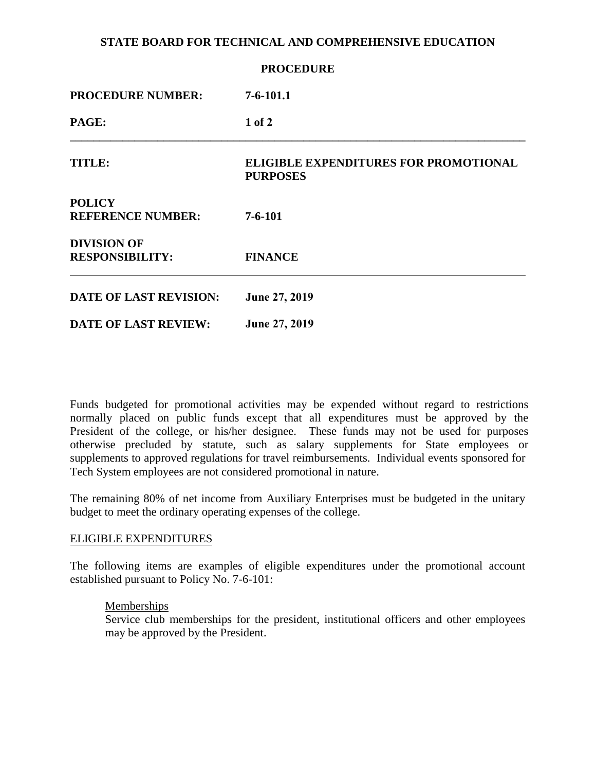## **STATE BOARD FOR TECHNICAL AND COMPREHENSIVE EDUCATION**

| <b>PROCEDURE</b>                             |                                                                 |
|----------------------------------------------|-----------------------------------------------------------------|
| <b>PROCEDURE NUMBER:</b>                     | $7 - 6 - 101.1$                                                 |
| PAGE:                                        | $1$ of $2$                                                      |
| <b>TITLE:</b>                                | <b>ELIGIBLE EXPENDITURES FOR PROMOTIONAL</b><br><b>PURPOSES</b> |
| <b>POLICY</b><br><b>REFERENCE NUMBER:</b>    | $7 - 6 - 101$                                                   |
| <b>DIVISION OF</b><br><b>RESPONSIBILITY:</b> | <b>FINANCE</b>                                                  |
| <b>DATE OF LAST REVISION:</b>                | June 27, 2019                                                   |
| <b>DATE OF LAST REVIEW:</b>                  | <b>June 27, 2019</b>                                            |

Funds budgeted for promotional activities may be expended without regard to restrictions normally placed on public funds except that all expenditures must be approved by the President of the college, or his/her designee. These funds may not be used for purposes otherwise precluded by statute, such as salary supplements for State employees or supplements to approved regulations for travel reimbursements. Individual events sponsored for Tech System employees are not considered promotional in nature.

The remaining 80% of net income from Auxiliary Enterprises must be budgeted in the unitary budget to meet the ordinary operating expenses of the college.

# ELIGIBLE EXPENDITURES

The following items are examples of eligible expenditures under the promotional account established pursuant to Policy No. 7-6-101:

#### Memberships

Service club memberships for the president, institutional officers and other employees may be approved by the President.